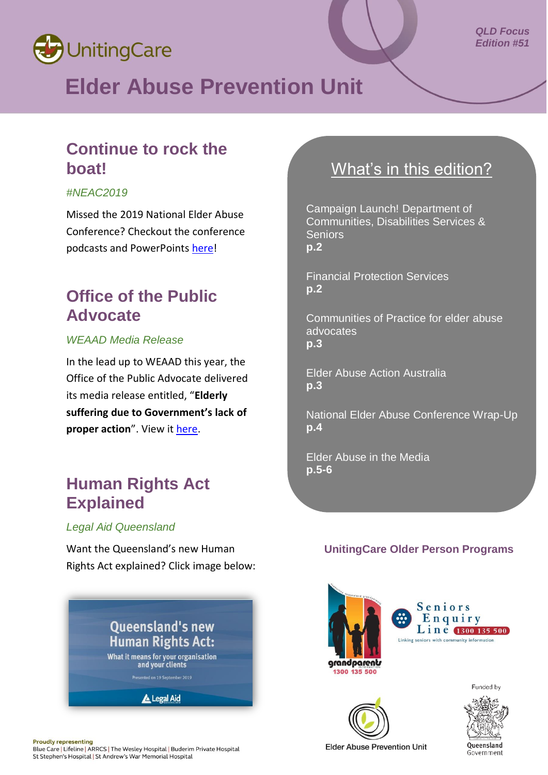

## **Elder Abuse Prevention Unit**

#### *QLD Focus Edition #51*

### **Continue to rock the boat!**

#### *#NEAC2019*

Missed the 2019 National Elder Abuse Conference? Checkout the conference podcasts and PowerPoints [here!](https://neac2019.com.au/resources/)

## **Office of the Public Advocate**

#### *WEAAD Media Release*

In the lead up to WEAAD this year, the Office of the Public Advocate delivered its media release entitled, "**Elderly suffering due to Government's lack of proper action**". View it [here.](https://www.justice.qld.gov.au/__data/assets/pdf_file/0008/616832/opa-media-release-elder-abuse-awareness-day-june-2019-final.pdf)

## **Human Rights Act Explained**

#### *Legal Aid Queensland*

Want the Queensland's new Human Rights Act explained? Click image below:



## What's in this edition?

Campaign Launch! Department of Communities, Disabilities Services & Seniors **p.2**

Financial Protection Services **p.2**

Communities of Practice for elder abuse advocates **p.3**

Elder Abuse Action Australia **p.3**

National Elder Abuse Conference Wrap-Up **p.4**

Elder Abuse in the Media **p.5-6**

#### **UnitingCare Older Person Programs**









**Proudly representing** Blue Care | Lifeline | ARRCS | The Wesley Hospital | Buderim Private Hospital St Stephen's Hospital | St Andrew's War Memorial Hospital

**Elder Abuse Prevention Unit**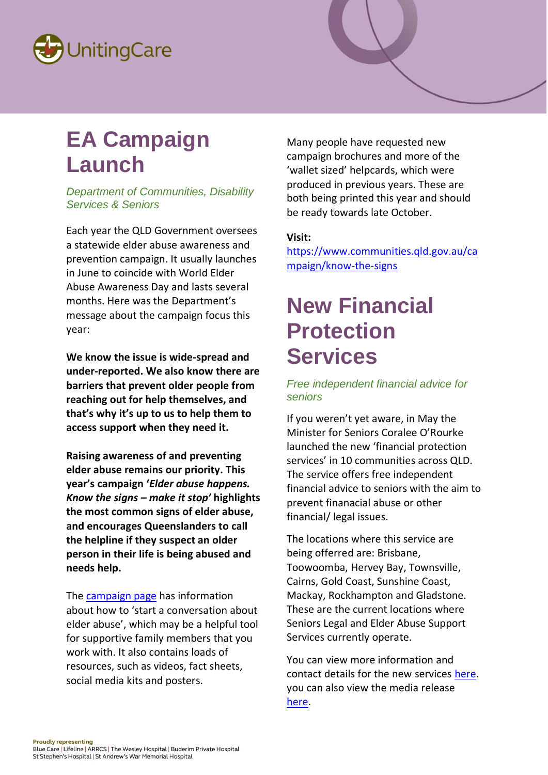

# **EA Campaign Launch**

*Department of Communities, Disability Services & Seniors*

Each year the QLD Government oversees a statewide elder abuse awareness and prevention campaign. It usually launches in June to coincide with World Elder Abuse Awareness Day and lasts several months. Here was the Department's message about the campaign focus this year:

**We know the issue is wide-spread and under-reported. We also know there are barriers that prevent older people from reaching out for help themselves, and that's why it's up to us to help them to access support when they need it.**

**Raising awareness of and preventing elder abuse remains our priority. This year's campaign '***Elder abuse happens. Know the signs – make it stop'* **highlights the most common signs of elder abuse, and encourages Queenslanders to call the helpline if they suspect an older person in their life is being abused and needs help.**

The [campaign page](https://www.communities.qld.gov.au/campaign/know-signs/campaign) has information about how to 'start a conversation about elder abuse', which may be a helpful tool for supportive family members that you work with. It also contains loads of resources, such as videos, fact sheets, social media kits and posters.

Many people have requested new campaign brochures and more of the 'wallet sized' helpcards, which were produced in previous years. These are both being printed this year and should be ready towards late October.

#### **Visit:**

[https://www.communities.qld.gov.au/ca](https://www.communities.qld.gov.au/campaign/know-the-signs) [mpaign/know-the-signs](https://www.communities.qld.gov.au/campaign/know-the-signs)

## **New Financial Protection Services**

#### *Free independent financial advice for seniors*

If you weren't yet aware, in May the Minister for Seniors Coralee O'Rourke launched the new 'financial protection services' in 10 communities across QLD. The service offers free independent financial advice to seniors with the aim to prevent finanacial abuse or other financial/ legal issues.

The locations where this service are being offerred are: Brisbane, Toowoomba, Hervey Bay, Townsville, Cairns, Gold Coast, Sunshine Coast, Mackay, Rockhampton and Gladstone. These are the current locations where Seniors Legal and Elder Abuse Support Services currently operate.

You can view more information and contact details for the new services [here.](https://www.qld.gov.au/seniors/legal-finance-concessions/financial-advice-support/seniors-financial-protection-services) you can also view the media release [here.](http://statements.qld.gov.au/Statement/2019/5/10/new-service-to-protect-queensland-seniors-from-financial-abuse)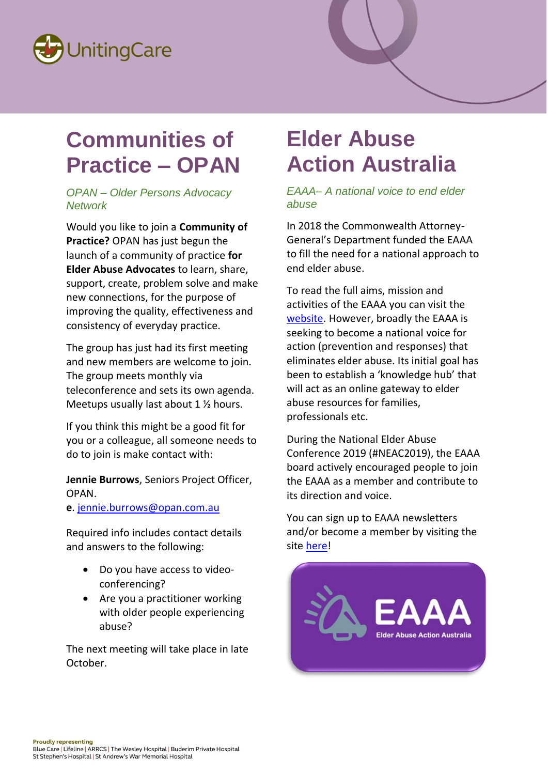

## **Communities of Practice – OPAN**

#### *OPAN – Older Persons Advocacy Network*

Would you like to join a **Community of Practice?** OPAN has just begun the launch of a community of practice **for Elder Abuse Advocates** to learn, share, support, create, problem solve and make new connections, for the purpose of improving the quality, effectiveness and consistency of everyday practice.

The group has just had its first meeting and new members are welcome to join. The group meets monthly via teleconference and sets its own agenda. Meetups usually last about 1 ½ hours.

If you think this might be a good fit for you or a colleague, all someone needs to do to join is make contact with:

**Jennie Burrows**, Seniors Project Officer, OPAN.

**e**. [jennie.burrows@opan.com.au](mailto:jennie.burrows@opan.com.au) 

Required info includes contact details and answers to the following:

- Do you have access to videoconferencing?
- Are you a practitioner working with older people experiencing abuse?

The next meeting will take place in late October.

## **Elder Abuse Action Australia**

*EAAA– A national voice to end elder abuse*

In 2018 the Commonwealth Attorney-General's Department funded the EAAA to fill the need for a national approach to end elder abuse.

To read the full aims, mission and activities of the EAAA you can visit the [website.](https://eaaa.org.au/about-us/) However, broadly the EAAA is seeking to become a national voice for action (prevention and responses) that eliminates elder abuse. Its initial goal has been to establish a 'knowledge hub' that will act as an online gateway to elder abuse resources for families, professionals etc.

During the National Elder Abuse Conference 2019 (#NEAC2019), the EAAA board actively encouraged people to join the EAAA as a member and contribute to its direction and voice.

You can sign up to EAAA newsletters and/or become a member by visiting the site [here!](https://eaaa.org.au/contact/)

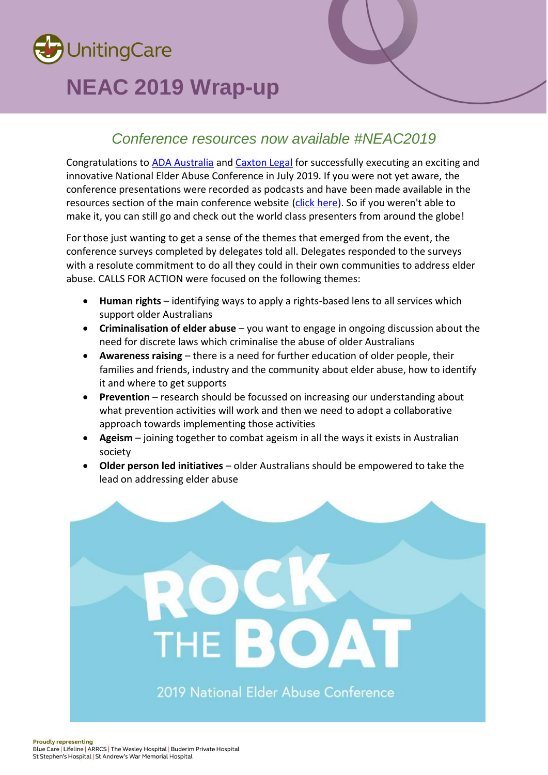

## **NEAC 2019 Wrap-up**

### *Conference resources now available #NEAC2019*

Congratulations to [ADA Australia](https://adaaustralia.com.au/) and [Caxton Legal](https://caxton.org.au/) for successfully executing an exciting and innovative National Elder Abuse Conference in July 2019. If you were not yet aware, the conference presentations were recorded as podcasts and have been made available in the resources section of the main conference website [\(click here\)](https://neac2019.com.au/resources/). So if you weren't able to make it, you can still go and check out the world class presenters from around the globe!

For those just wanting to get a sense of the themes that emerged from the event, the conference surveys completed by delegates told all. Delegates responded to the surveys with a resolute commitment to do all they could in their own communities to address elder abuse. CALLS FOR ACTION were focused on the following themes:

- **Human rights** identifying ways to apply a rights-based lens to all services which support older Australians
- **Criminalisation of elder abuse** you want to engage in ongoing discussion about the need for discrete laws which criminalise the abuse of older Australians
- **Awareness raising** there is a need for further education of older people, their families and friends, industry and the community about elder abuse, how to identify it and where to get supports
- **Prevention** research should be focussed on increasing our understanding about what prevention activities will work and then we need to adopt a collaborative approach towards implementing those activities
- **Ageism** joining together to combat ageism in all the ways it exists in Australian society
- **Older person led initiatives** older Australians should be empowered to take the lead on addressing elder abuse

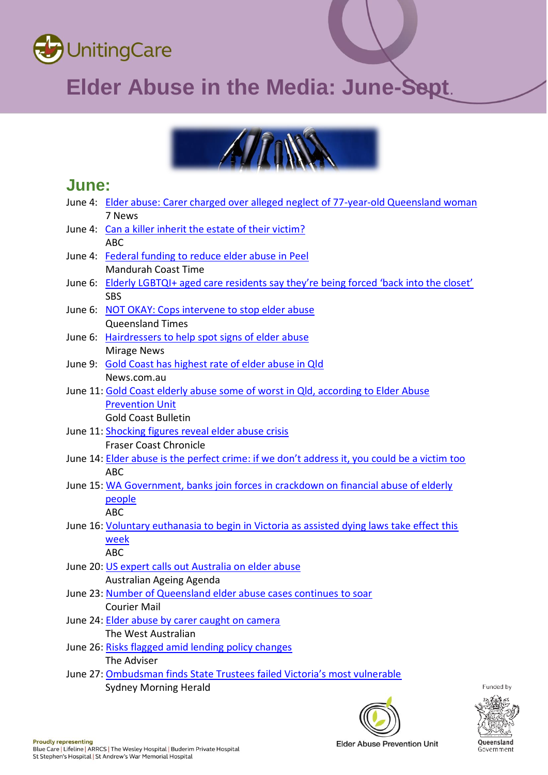

# **Elder Abuse in the Media: June-Sept**.



### **June:**

| June 4: Elder abuse: Carer charged over alleged neglect of 77-year-old Queensland woman      |           |
|----------------------------------------------------------------------------------------------|-----------|
| 7 News                                                                                       |           |
| June 4: Can a killer inherit the estate of their victim?                                     |           |
| <b>ABC</b>                                                                                   |           |
| June 4: Federal funding to reduce elder abuse in Peel                                        |           |
| <b>Mandurah Coast Time</b>                                                                   |           |
| June 6: Elderly LGBTQI+ aged care residents say they're being forced 'back into the closet'  |           |
| <b>SBS</b>                                                                                   |           |
| June 6: NOT OKAY: Cops intervene to stop elder abuse                                         |           |
| <b>Queensland Times</b>                                                                      |           |
| June 6: Hairdressers to help spot signs of elder abuse                                       |           |
| <b>Mirage News</b>                                                                           |           |
| June 9: Gold Coast has highest rate of elder abuse in Qld                                    |           |
| News.com.au                                                                                  |           |
| June 11: Gold Coast elderly abuse some of worst in Qld, according to Elder Abuse             |           |
| <b>Prevention Unit</b>                                                                       |           |
| <b>Gold Coast Bulletin</b>                                                                   |           |
| June 11: Shocking figures reveal elder abuse crisis                                          |           |
| <b>Fraser Coast Chronicle</b>                                                                |           |
| June 14: Elder abuse is the perfect crime: if we don't address it, you could be a victim too |           |
| <b>ABC</b>                                                                                   |           |
| June 15: WA Government, banks join forces in crackdown on financial abuse of elderly         |           |
| people                                                                                       |           |
| <b>ABC</b>                                                                                   |           |
| June 16: Voluntary euthanasia to begin in Victoria as assisted dying laws take effect this   |           |
| week                                                                                         |           |
| <b>ABC</b>                                                                                   |           |
| June 20: US expert calls out Australia on elder abuse                                        |           |
| Australian Ageing Agenda                                                                     |           |
| June 23: Number of Queensland elder abuse cases continues to soar                            |           |
| <b>Courier Mail</b>                                                                          |           |
| June 24: Elder abuse by carer caught on camera                                               |           |
| The West Australian                                                                          |           |
| June 26: Risks flagged amid lending policy changes                                           |           |
| The Adviser                                                                                  |           |
| June 27: Ombudsman finds State Trustees failed Victoria's most vulnerable                    |           |
| <b>Sydney Morning Herald</b>                                                                 | Funded by |



Queensland

Government